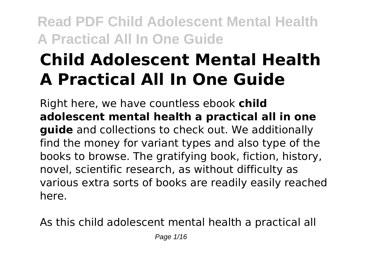# **Child Adolescent Mental Health A Practical All In One Guide**

Right here, we have countless ebook **child adolescent mental health a practical all in one guide** and collections to check out. We additionally find the money for variant types and also type of the books to browse. The gratifying book, fiction, history, novel, scientific research, as without difficulty as various extra sorts of books are readily easily reached here.

As this child adolescent mental health a practical all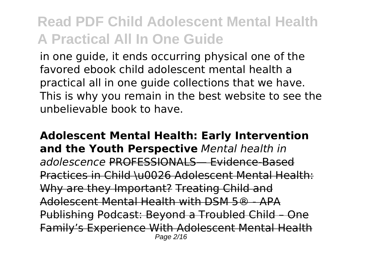in one guide, it ends occurring physical one of the favored ebook child adolescent mental health a practical all in one guide collections that we have. This is why you remain in the best website to see the unbelievable book to have.

**Adolescent Mental Health: Early Intervention and the Youth Perspective** *Mental health in adolescence* PROFESSIONALS— Evidence-Based Practices in Child \u0026 Adolescent Mental Health: Why are they Important? Treating Child and Adolescent Mental Health with DSM 5® - APA Publishing Podcast: Beyond a Troubled Child Family's Experience With Adolescent Mental Health Page 2/16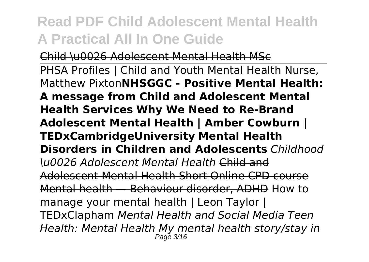Child \u0026 Adolescent Mental Health MSc PHSA Profiles | Child and Youth Mental Health Nurse, Matthew Pixton**NHSGGC - Positive Mental Health: A message from Child and Adolescent Mental Health Services Why We Need to Re-Brand Adolescent Mental Health | Amber Cowburn | TEDxCambridgeUniversity Mental Health Disorders in Children and Adolescents** *Childhood \u0026 Adolescent Mental Health* Child and Adolescent Mental Health Short Online CPD course Mental health — Behaviour disorder, ADHD How to manage your mental health | Leon Taylor | TEDxClapham *Mental Health and Social Media Teen Health: Mental Health My mental health story/stay in* Page 3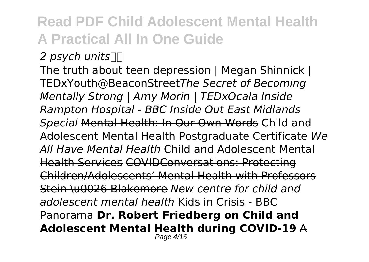#### *2 psych units*

The truth about teen depression | Megan Shinnick | TEDxYouth@BeaconStreet*The Secret of Becoming Mentally Strong | Amy Morin | TEDxOcala Inside Rampton Hospital - BBC Inside Out East Midlands Special* Mental Health: In Our Own Words Child and Adolescent Mental Health Postgraduate Certificate *We All Have Mental Health* Child and Adolescent Mental Health Services COVIDConversations: Protecting Children/Adolescents' Mental Health with Professors Stein \u0026 Blakemore *New centre for child and adolescent mental health* Kids in Crisis - BBC Panorama **Dr. Robert Friedberg on Child and Adolescent Mental Health during COVID-19** A Page 4/16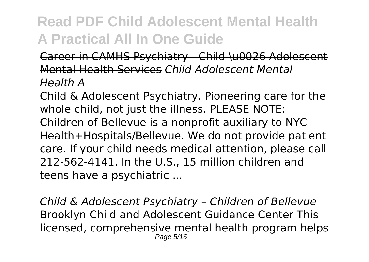#### Career in CAMHS Psychiatry - Child \u0026 Adolescent Mental Health Services *Child Adolescent Mental Health A*

Child & Adolescent Psychiatry. Pioneering care for the whole child, not just the illness. PLEASE NOTE: Children of Bellevue is a nonprofit auxiliary to NYC Health+Hospitals/Bellevue. We do not provide patient care. If your child needs medical attention, please call 212-562-4141. In the U.S., 15 million children and teens have a psychiatric ...

*Child & Adolescent Psychiatry – Children of Bellevue* Brooklyn Child and Adolescent Guidance Center This licensed, comprehensive mental health program helps Page 5/16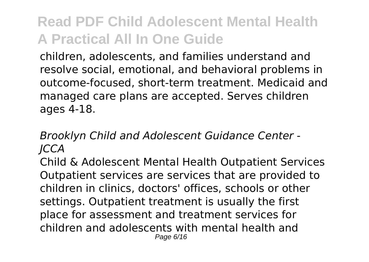children, adolescents, and families understand and resolve social, emotional, and behavioral problems in outcome-focused, short-term treatment. Medicaid and managed care plans are accepted. Serves children ages 4-18.

#### *Brooklyn Child and Adolescent Guidance Center - JCCA*

Child & Adolescent Mental Health Outpatient Services Outpatient services are services that are provided to children in clinics, doctors' offices, schools or other settings. Outpatient treatment is usually the first place for assessment and treatment services for children and adolescents with mental health and Page 6/16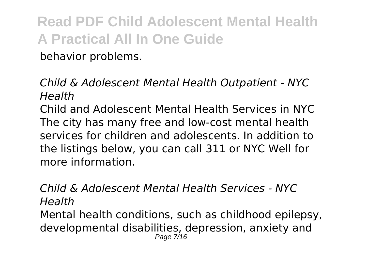behavior problems.

*Child & Adolescent Mental Health Outpatient - NYC Health*

Child and Adolescent Mental Health Services in NYC The city has many free and low-cost mental health services for children and adolescents. In addition to the listings below, you can call 311 or NYC Well for more information.

*Child & Adolescent Mental Health Services - NYC Health* Mental health conditions, such as childhood epilepsy, developmental disabilities, depression, anxiety and Page 7/16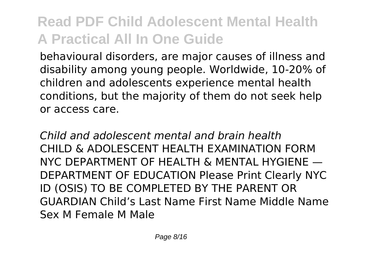behavioural disorders, are major causes of illness and disability among young people. Worldwide, 10-20% of children and adolescents experience mental health conditions, but the majority of them do not seek help or access care.

*Child and adolescent mental and brain health* CHILD & ADOLESCENT HEALTH EXAMINATION FORM NYC DEPARTMENT OF HEALTH & MENTAL HYGIENE — DEPARTMENT OF EDUCATION Please Print Clearly NYC ID (OSIS) TO BE COMPLETED BY THE PARENT OR GUARDIAN Child's Last Name First Name Middle Name Sex M Female M Male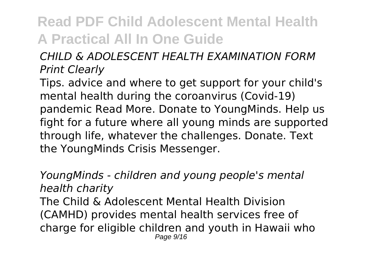#### *CHILD & ADOLESCENT HEALTH EXAMINATION FORM Print Clearly*

Tips. advice and where to get support for your child's mental health during the coroanvirus (Covid-19) pandemic Read More. Donate to YoungMinds. Help us fight for a future where all young minds are supported through life, whatever the challenges. Donate. Text the YoungMinds Crisis Messenger.

*YoungMinds - children and young people's mental health charity* The Child & Adolescent Mental Health Division (CAMHD) provides mental health services free of charge for eligible children and youth in Hawaii who Page  $9/16$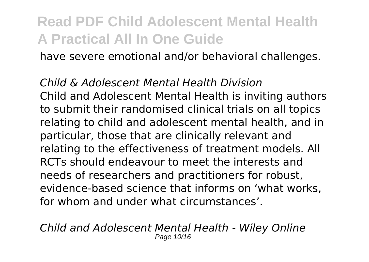have severe emotional and/or behavioral challenges.

#### *Child & Adolescent Mental Health Division*

Child and Adolescent Mental Health is inviting authors to submit their randomised clinical trials on all topics relating to child and adolescent mental health, and in particular, those that are clinically relevant and relating to the effectiveness of treatment models. All RCTs should endeavour to meet the interests and needs of researchers and practitioners for robust, evidence-based science that informs on 'what works, for whom and under what circumstances'.

*Child and Adolescent Mental Health - Wiley Online* Page 10/16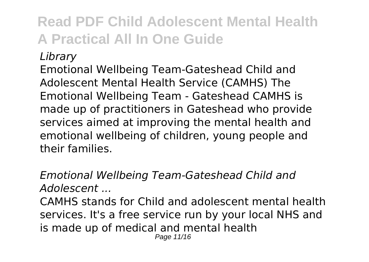*Library*

Emotional Wellbeing Team-Gateshead Child and Adolescent Mental Health Service (CAMHS) The Emotional Wellbeing Team - Gateshead CAMHS is made up of practitioners in Gateshead who provide services aimed at improving the mental health and emotional wellbeing of children, young people and their families.

*Emotional Wellbeing Team-Gateshead Child and Adolescent ...* CAMHS stands for Child and adolescent mental health services. It's a free service run by your local NHS and is made up of medical and mental health Page 11/16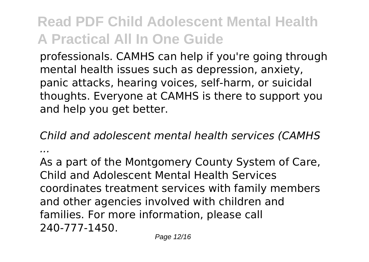professionals. CAMHS can help if you're going through mental health issues such as depression, anxiety, panic attacks, hearing voices, self-harm, or suicidal thoughts. Everyone at CAMHS is there to support you and help you get better.

*Child and adolescent mental health services (CAMHS ...*

As a part of the Montgomery County System of Care, Child and Adolescent Mental Health Services coordinates treatment services with family members and other agencies involved with children and families. For more information, please call 240-777-1450.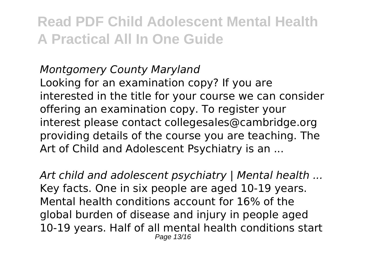#### *Montgomery County Maryland*

Looking for an examination copy? If you are interested in the title for your course we can consider offering an examination copy. To register your interest please contact collegesales@cambridge.org providing details of the course you are teaching. The Art of Child and Adolescent Psychiatry is an ...

*Art child and adolescent psychiatry | Mental health ...* Key facts. One in six people are aged 10-19 years. Mental health conditions account for 16% of the global burden of disease and injury in people aged 10-19 years. Half of all mental health conditions start Page 13/16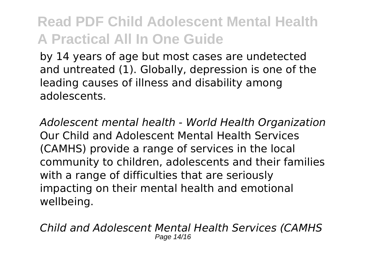by 14 years of age but most cases are undetected and untreated (1). Globally, depression is one of the leading causes of illness and disability among adolescents.

*Adolescent mental health - World Health Organization* Our Child and Adolescent Mental Health Services (CAMHS) provide a range of services in the local community to children, adolescents and their families with a range of difficulties that are seriously impacting on their mental health and emotional wellbeing.

*Child and Adolescent Mental Health Services (CAMHS* Page 14/16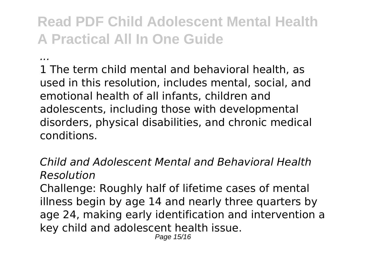*...*

1 The term child mental and behavioral health, as used in this resolution, includes mental, social, and emotional health of all infants, children and adolescents, including those with developmental disorders, physical disabilities, and chronic medical conditions.

*Child and Adolescent Mental and Behavioral Health Resolution*

Challenge: Roughly half of lifetime cases of mental illness begin by age 14 and nearly three quarters by age 24, making early identification and intervention a key child and adolescent health issue.